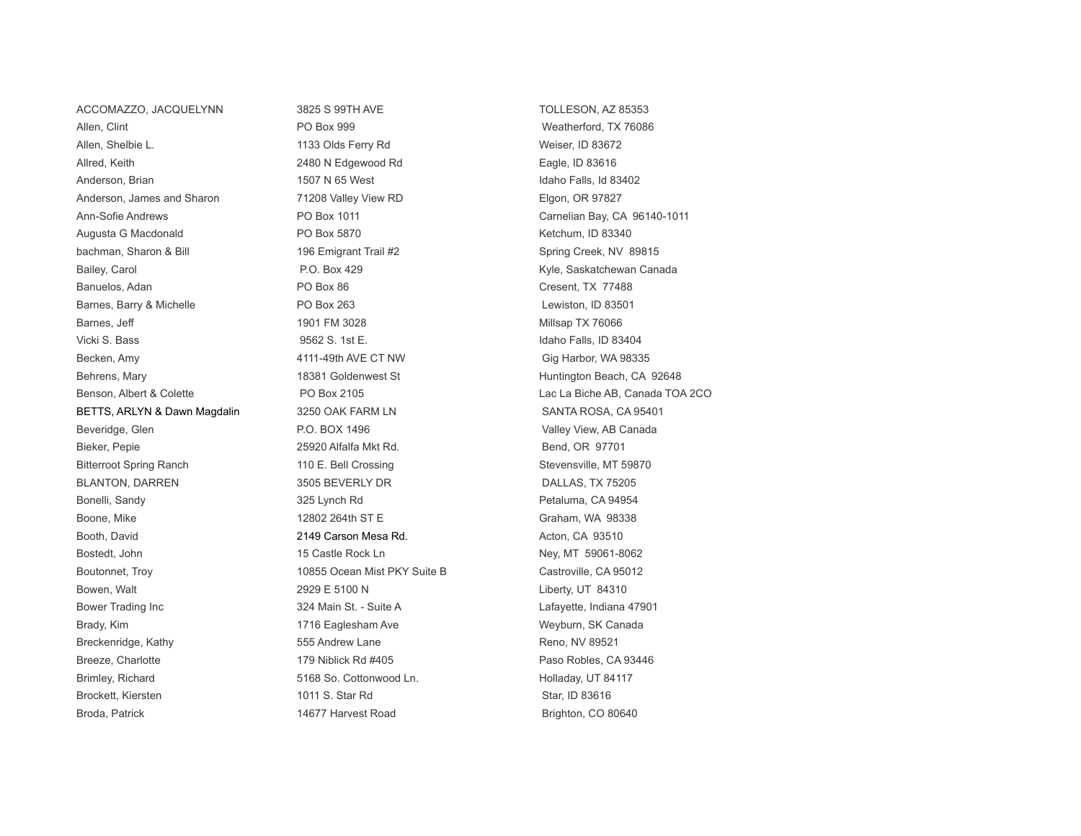Allen, Clint **Allen, Clint** PO Box 999 Weatherford, TX 76086 Allen, Shelbie L. 1133 Olds Ferry Rd Weiser, ID 83672 Allred, Keith 2480 N Edgewood Rd Eagle, ID 83616 Anderson, Brian 1507 N 65 West 1507 N 65 West 1507 N 65 West Idaho Falls, Id 83402 Anderson, James and Sharon **71208 Valley View RD Elgon, OR 97827** Ann-Sofie Andrews **PO Box 1011** PO Box 1011 Carnelian Bay, CA 96140-1011 Augusta G Macdonald **PO Box 5870** Augusta G Macdonald **PO Box 5870 Retchum, ID 83340** bachman, Sharon & Bill 196 Emigrant Trail #2 Spring Creek, NV 89815 Bailey, Carol **P.O. Box 429** Carol **Kyle, Saskatchewan Canada** Kyle, Saskatchewan Canada Banuelos, Adan **PO Box 86** Cresent, TX 77488 Barnes, Barry & Michelle **PO Box 263** PO Box 263 Lewiston, ID 83501 Barnes, Jeff **1901 FM 3028** Millsap TX 76066 Vicki S. Bass 9562 S. 1st E. Idaho Falls, ID 83404 Becken, Amy **1988** and the 4111-49th AVE CT NW Gig Harbor, WA 98335 Behrens, Mary **18281 Goldenwest St** American Beach, CA 92648 Benson, Albert & Colette PO Box 2105 Lac La Biche AB, Canada TOA 2CO BETTS, ARLYN & Dawn Magdalin 3250 OAK FARM LN 3250 SANTA ROSA, CA 95401 Beveridge, Glen **P.O. BOX 1496** Valley View, AB Canada Valley View, AB Canada Bieker, Pepie **25920 Alfalfa Mkt Rd.** Bend, OR 97701 Bitterroot Spring Ranch 110 E. Bell Crossing Stevensville, MT 59870 BLANTON, DARREN 3505 BEVERLY DR 3505 BEVERLY DR DALLAS, TX 75205 Bonelli, Sandy **325 Lynch Rd 325 Lynch Rd Petaluma**, CA 94954 Boone, Mike 12802 264th ST E Graham, WA 98338 Booth, David **Example 2149 Carson Mesa Rd.** Acton, CA 93510 Bostedt, John 15 Castle Rock Ln Ney, MT 59061-8062 Boutonnet, Troy **10855 Ocean Mist PKY Suite B** Castroville, CA 95012 Bowen, Walt **2929 E 5100 N** 2020 C 5100 N Liberty, UT 84310 Bower Trading Inc **324 Main St. - Suite A** Lafayette, Indiana 47901 Brady, Kim **1716 Eaglesham Ave Mark Ave Meyburn, SK Canada** Brady, Kim Breckenridge, Kathy **Example 20** S55 Andrew Lane Reno, NV 89521 Breeze, Charlotte 179 Niblick Rd #405 Paso Robles, CA 93446 Brimley, Richard **5168 So. Cottonwood Ln.** Holladay, UT 84117 Brockett, Kiersten 1011 S. Star Rd Star, ID 83616 Broda, Patrick **14677 Harvest Road** Brighton, CO 80640

ACCOMAZZO, JACQUELYNN 3825 S 99TH AVE TOLLESON, AZ 85353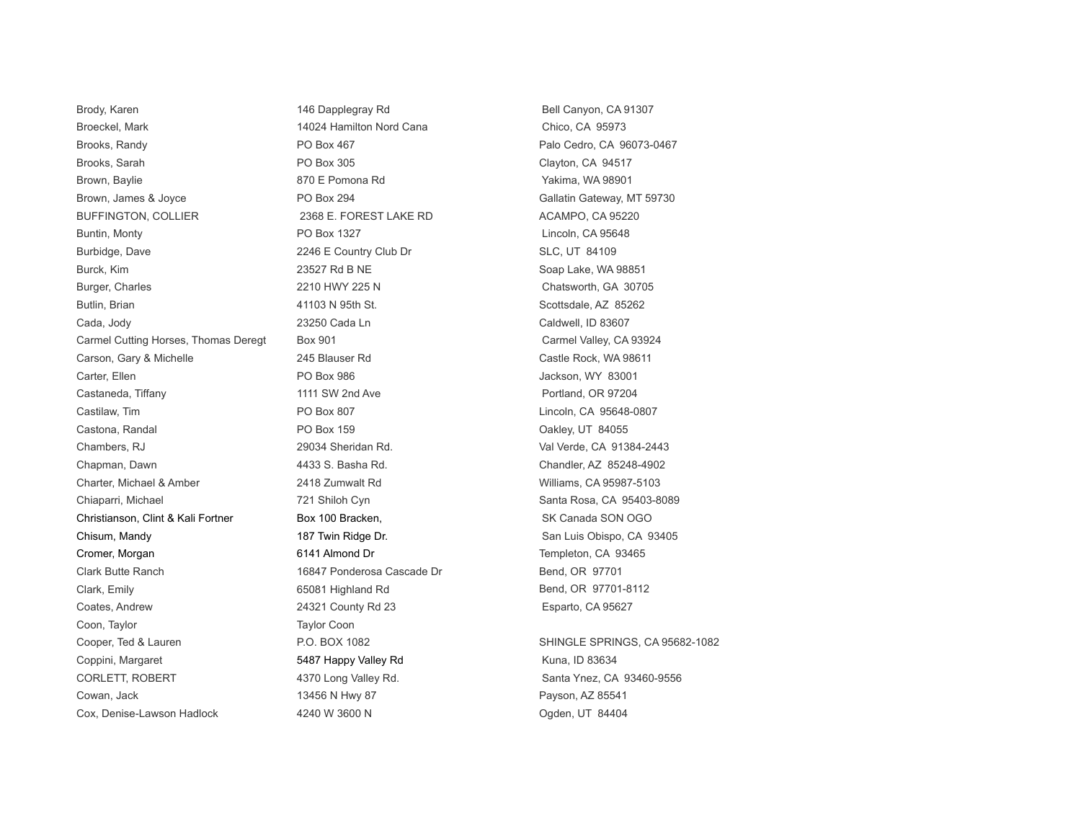Brody, Karen 146 Dapplegray Rd Bell Canyon, CA 91307 Broeckel, Mark 14024 Hamilton Nord Cana Chico, CA 95973 Brooks, Randy **PO Box 467** Palo Cedro, CA 96073-0467 Brooks, Sarah **PO Box 305** Clayton, CA 94517 Brown, Baylie **870 E Pomona Rd** 870 E Pomona Rd Yakima, WA 98901 Brown, James & Joyce PO Box 294 Gallatin Gateway, MT 59730 BUFFINGTON, COLLIER 2368 E. FOREST LAKE RD ACAMPO, CA 95220 Buntin, Monty **PO Box 1327 Lincoln, CA 95648** Burbidge, Dave 2246 E Country Club Dr SLC, UT 84109 Burck, Kim 23527 Rd B NE Soap Lake, WA 98851 Burger, Charles **2210 HWY 225 N** Chatsworth, GA 30705 Butlin, Brian 6. Scottsdale, AZ 85262 Cada, Jody **Cada, 23250 Cada Ln** 23250 Cada Ln Caldwell, ID 83607 Carmel Cutting Horses, Thomas Deregt Box 901 Carmel Valley, CA 93924 Carson, Gary & Michelle 245 Blauser Rd Castle Rock, WA 98611 Carter, Ellen **Carter, Ellen** PO Box 986 **PO Box 986** Jackson, WY 83001 Castaneda, Tiffany **1111 SW 2nd Ave Portland, OR 97204** Portland, OR 97204 Castilaw, Tim **Castilaw, Tim Castilaw, Tim Castilaw**, CA 95648-0807 Castona, Randal **PO Box 159** Castona, Randal PO Box 159 Chambers, RJ 29034 Sheridan Rd. Val Verde, CA 91384-2443 Chapman, Dawn 4433 S. Basha Rd. Chandler, AZ 85248-4902 Charter, Michael & Amber 2418 Zumwalt Rd Williams, CA 95987-5103 Chiaparri, Michael **721 Shiloh Cyn** Santa Rosa, CA 95403-8089 - Chiaparri, Michael Christianson, Clint & Kali Fortner Box 100 Bracken. Christianson, SK Canada SON OGO Chisum, Mandy **187 Twin Ridge Dr.** San Luis Obispo, CA 93405 Cromer, Morgan **6141 Almond Dr 5141 Almond Dr** Templeton, CA 93465 Clark Butte Ranch 16847 Ponderosa Cascade Dr Bend, OR 97701 Clark, Emily **Emily 65081 Highland Rd** Bend, OR 97701-8112 Coates, Andrew 24321 County Rd 23 Esparto, CA 95627 Coon, Taylor Coon Cooper, Ted & Lauren P.O. BOX 1082 SHINGLE SPRINGS, CA 95682-1082 Coppini, Margaret **5487 Happy Valley Rd Kuna, ID 83634** CORLETT, ROBERT **12000** 4370 Long Valley Rd. Santa Ynez, CA 93460-9556 Cowan, Jack 25541 **Payson, AZ 85541** Payson, AZ 85541 Cox, Denise-Lawson Hadlock **4240 W 3600 N** Cox, Denise-Lawson Hadlock **New York 10 Automobile 10** Automobile 10 Au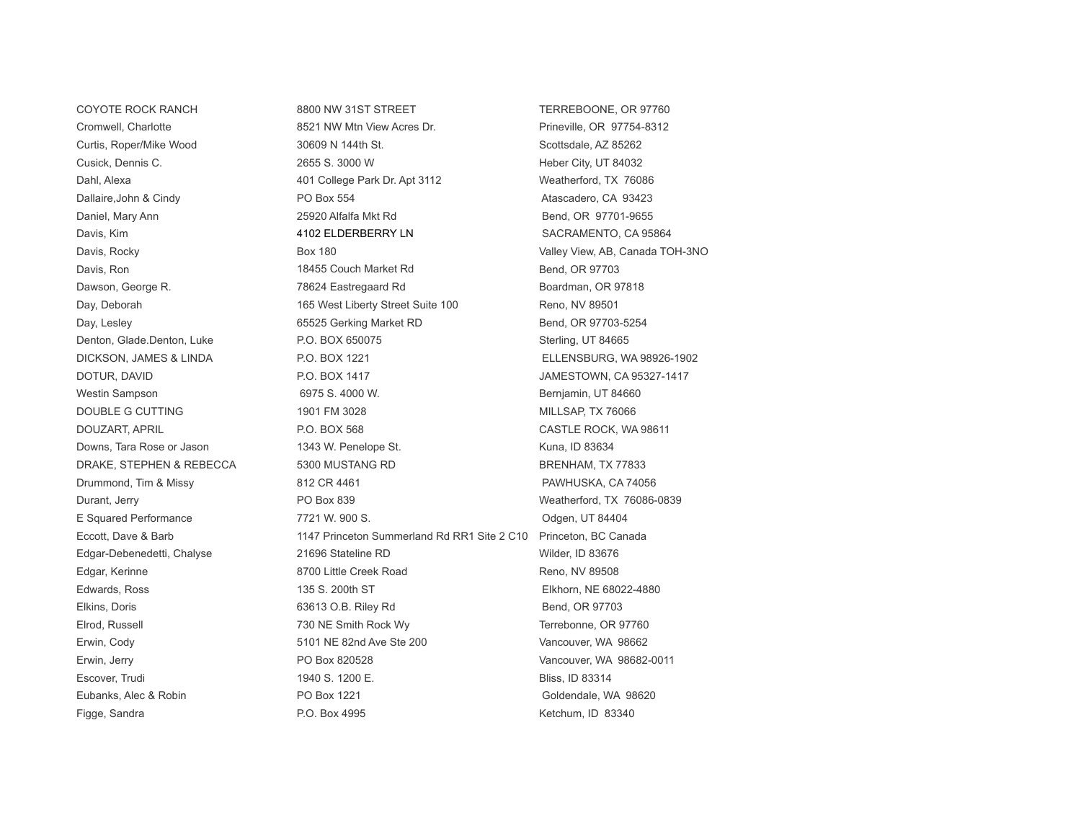Figge, Sandra **P.O. Box 4995** M.D. 80340 Ketchum, ID 83340

COYOTE ROCK RANCH B800 NW 31ST STREET THERREBOONE, OR 97760 Cromwell, Charlotte 8521 NW Mtn View Acres Dr. Prineville, OR 97754-8312 Curtis, Roper/Mike Wood 30609 N 144th St. Scottsdale, AZ 85262 Cusick, Dennis C. 2655 S. 3000 W Heber City, UT 84032 Dahl, Alexa **401 College Park Dr. Apt 3112** Weatherford, TX 76086 Dallaire,John & Cindy **PO Box 554** PO Box 554 **Atascadero, CA 93423** Daniel, Mary Ann 25920 Alfalfa Mkt Rd Bend, OR 97701-9655 Davis, Kim **1102 ELDERBERRY LN** SACRAMENTO, CA 95864 Davis, Rocky **Box 180** Box 180 **Valley View, AB, Canada TOH-3NO** Davis, Ron 18455 Couch Market Rd Bend, OR 97703 Dawson, George R. The Contract of the 2012 T8624 Eastregaard Rd Boardman, OR 97818 Day, Deborah 165 West Liberty Street Suite 100 Reno, NV 89501 Day, Lesley **Example 20 State Accord Contract Contract Contract RD** Bend, OR 97703-5254 Denton, Glade.Denton, Luke **P.O. BOX 650075** P.O. BOX 650075 DICKSON, JAMES & LINDA P.O. BOX 1221 ELLENSBURG, WA 98926-1902 DOTUR, DAVID **P.O. BOX 1417** P.O. BOX 1417 **JAMESTOWN, CA 95327-1417** Westin Sampson **6975 S. 4000 W.** G975 S. 4000 W. Bernjamin, UT 84660 DOUBLE G CUTTING 1901 FM 3028 MILLSAP, TX 76066 DOUZART, APRIL **EXECUTE:** P.O. BOX 568 CASTLE ROCK, WA 98611 Downs, Tara Rose or Jason 1343 W. Penelope St. Nowns, Tara Rose or Jason 1343 W. Penelope St. DRAKE, STEPHEN & REBECCA 5300 MUSTANG RD BRENHAM, TX 77833 Drummond, Tim & Missy 812 CR 4461 PAWHUSKA, CA 74056 Durant, Jerry PO Box 839 Weatherford, TX 76086-0839 E Squared Performance 7721 W. 900 S. Odgen, UT 84404 Eccott, Dave & Barb 1147 Princeton Summerland Rd RR1 Site 2 C10 Princeton, BC Canada Edgar-Debenedetti, Chalyse 21696 Stateline RD Wilder, ID 83676 Edgar, Kerinne **8700 Little Creek Road** Reno, NV 89508 Edwards, Ross 135 S. 200th ST Elkhorn, NE 68022-4880 Elkins, Doris **Elkins, Doris 1998** COLE Riley Rd Bend, OR 97703 Elrod, Russell 730 NE Smith Rock Wy Terrebonne, OR 97760 Erwin, Cody 5101 NE 82nd Ave Ste 200 Vancouver, WA 98662 Erwin, Jerry PO Box 820528 Vancouver, WA 98682-0011 Escover, Trudi 1940 S. 1200 E. Bliss, ID 83314 Eubanks, Alec & Robin PO Box 1221 Goldendale, WA 98620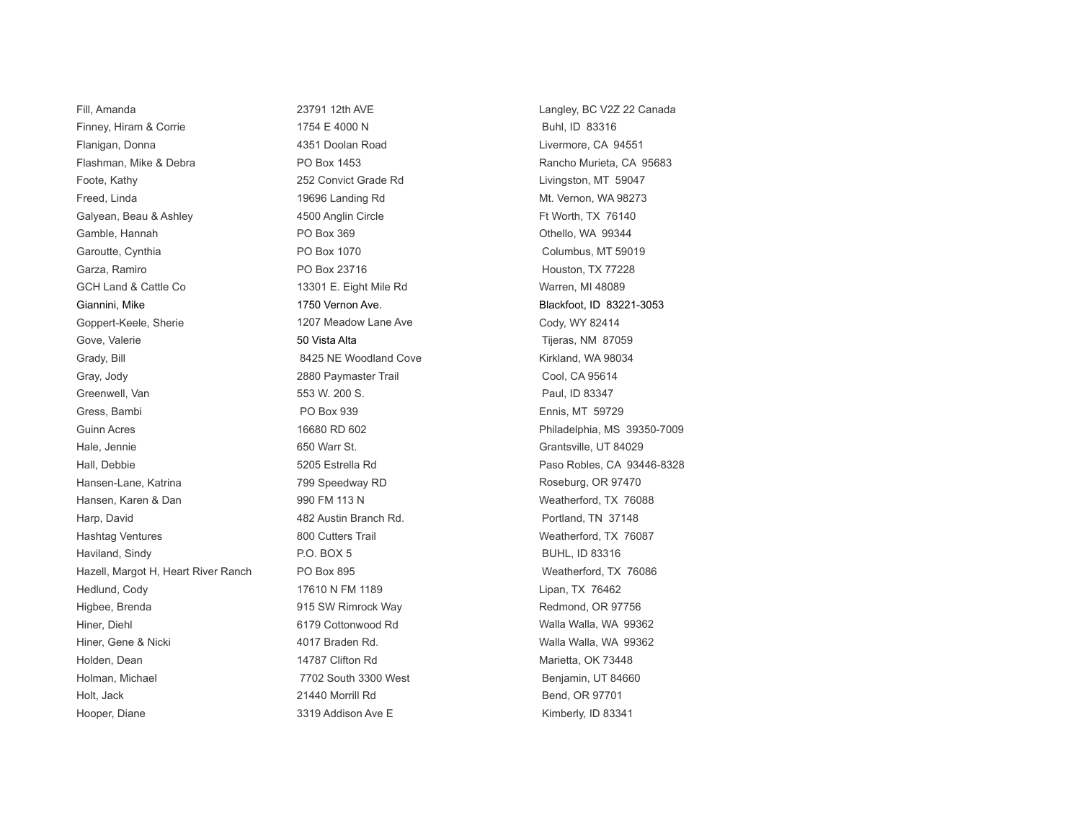Finney, Hiram & Corrie  $1754 \text{ E } 4000 \text{ N}$  Buhl, ID 83316 Flanigan, Donna **1988 1998 1999 12:33 13:4351 Doolan Road Livermore, CA 94551 Livermore**, CA 94551 Flashman, Mike & Debra **Rancho Australia Rancho Murieta, CA 95683** Rancho Murieta, CA 95683 Foote, Kathy **252 Convict Grade Rd** Livingston, MT 59047 Freed, Linda 19696 Landing Rd Mt. Vernon, WA 98273 Galyean, Beau & Ashley **4500 Anglin Circle** Ft Worth, TX 76140 Gamble, Hannah **PO Box 369** PO Box 369 **Othello, WA 99344** Garoutte, Cynthia **Columbus, MT 59019** PO Box 1070 Columbus, MT 59019 Garza, Ramiro **PO Box 23716** Houston, TX 77228 GCH Land & Cattle Co **13301 E.** Eight Mile Rd Warren, MI 48089 Giannini, Mike 1750 Vernon Ave. 1750 Vernon Ave. Blackfoot, ID 83221-3053 Goppert-Keele, Sherie 1207 Meadow Lane Ave Cody, WY 82414 Gove, Valerie 1980 1990 1991 1991 1992 1993 1994 1994 1995 1994 1995 1994 1995 1996 1997 1998 1999 1999 1999 1 Grady, Bill **Samuel Cove** 8425 NE Woodland Cove **Kirkland, WA 98034** Gray, Jody 2880 Paymaster Trail Cool, CA 95614 Greenwell, Van 553 W. 200 S. Paul, ID 83347 Gress, Bambi PO Box 939 Ennis, MT 59729 Guinn Acres **16680 RD 602 Philadelphia, MS 39350-7009 Philadelphia**, MS 39350-7009 Hale, Jennie 650 Warr St. Grantsville, UT 84029 Hall, Debbie 5205 Estrella Rd Paso Robles, CA 93446-8328 Hansen-Lane, Katrina **1998** The Roseburg, CR 97470 The Roseburg, OR 97470 Hansen, Karen & Dan 8 March 200 FM 113 N Weatherford, TX 76088 Harp, David **Austria Australia Australia Australia Australia Australia Australia Australia Australia Australia** Portland, TN 37148 Hashtag Ventures **800 Cutters Trail Mashtag Ventures** Weatherford, TX 76087 Haviland, Sindy **P.O. BOX 5** BUHL, ID 83316 Hazell, Margot H, Heart River Ranch PO Box 895 Weatherford, TX 76086 Hedlund, Cody 17610 N FM 1189 Lipan, TX 76462 Higbee, Brenda **1920 1915 SW Rimrock Way Separate Section** Redmond, OR 97756 Hiner, Diehl 6179 Cottonwood Rd Walla Walla, WA 99362 Hiner, Gene & Nicki **Access 10. March 2017** Braden Rd. New York 2018 Walla Walla, WA 99362 Holden, Dean **14787 Clifton Rd** Marietta, OK 73448 Holman, Michael **1988** Couth 3300 West Benjamin, UT 84660 Holt, Jack 21440 Morrill Rd Bend, OR 97701 Hooper, Diane **3319 Addison Ave E** Kimberly, ID 83341

Fill, Amanda 23791 12th AVE Langley, BC V2Z 22 Canada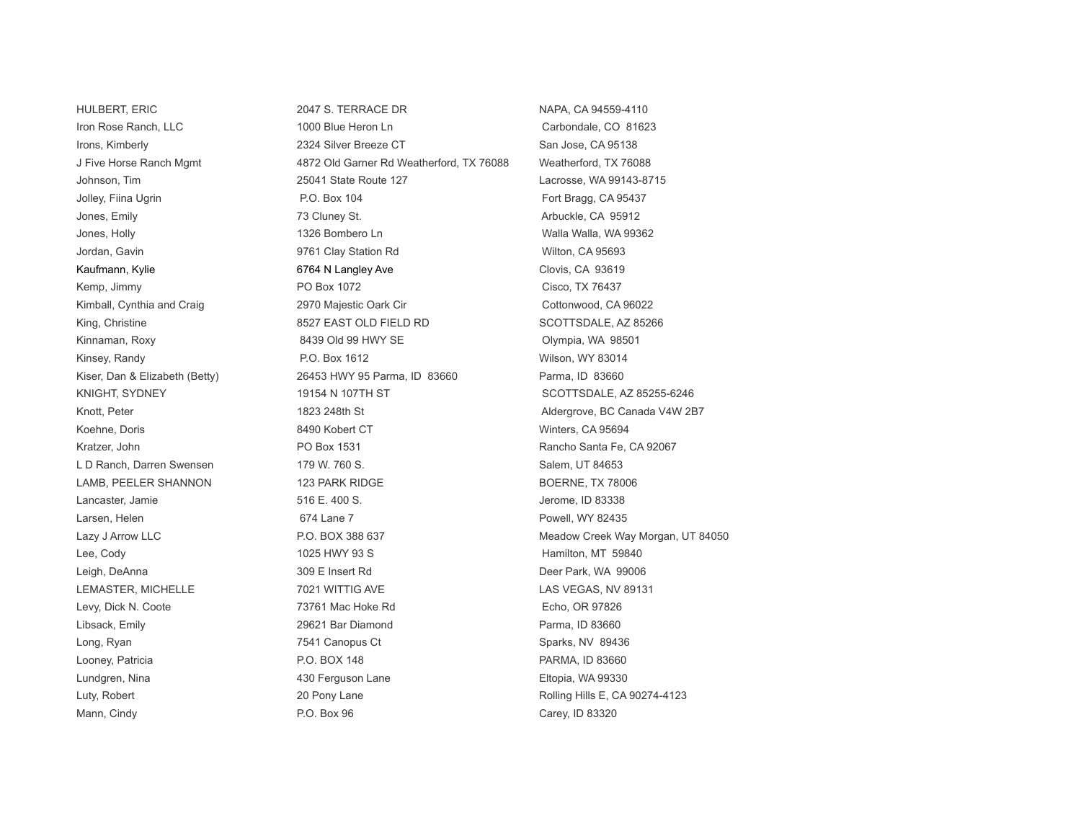HULBERT, ERIC 2047 S. TERRACE DR NAPA, CA 94559-4110 Iron Rose Ranch, LLC 1000 Blue Heron Ln Carbondale, CO 81623 Irons, Kimberly **2324 Silver Breeze CT** San Jose, CA 95138 J Five Horse Ranch Mgmt 4872 Old Garner Rd Weatherford, TX 76088 Weatherford, TX 76088 Johnson, Tim 25041 State Route 127 Lacrosse, WA 99143-8715 Jolley, Fiina Ugrin **P.O. Box 104** Fort Bragg, CA 95437 Jones, Emily **The Community Community** 73 Cluney St. **Arbuckle, CA 95912 Arbuckle, CA 95912** Jones, Holly **1326 Bombero Ln** Malla Walla Walla, WA 99362 Jordan, Gavin **1988** Clay Station Rd 19761 Clay Station Rd 1988 Wilton, CA 95693 Kaufmann, Kylie **Example 19 Clovis, CA 93619** 6764 N Langley Ave **Clovis, CA 93619** Kemp, Jimmy **PO Box 1072** Cisco, TX 76437 Kimball, Cynthia and Craig **2970 Majestic Oark Cir** Cottonwood, CA 96022 King, Christine **8527 EAST OLD FIELD RD** SCOTTSDALE, AZ 85266 Kinnaman, Roxy **8439 Old 99 HWY SE** Clympia, WA 98501 Kinsey, Randy **P.O. Box 1612** Wilson, WY 83014 Kiser, Dan & Elizabeth (Betty) 26453 HWY 95 Parma, ID 83660 Parma, ID 83660 KNIGHT, SYDNEY 19154 N 19154 N 107TH ST SCOTTSDALE, AZ 85255-6246 Knott, Peter 1823 248th St Aldergrove, BC Canada V4W 2B7 Koehne, Doris **8490 Kobert CT** Winters, CA 95694 Kratzer, John **Rancho Santa Fe, CA 92067** PO Box 1531 **Rancho Santa Fe, CA 92067** L D Ranch, Darren Swensen 179 W. 760 S. Salem, UT 84653 LAMB, PEELER SHANNON 123 PARK RIDGE TALL BOERNE, TX 78006 Lancaster, Jamie 516 E. 400 S. Jerome, ID 83338 Larsen, Helen **Election Community Community** 674 Lane 7 **Powell, WY 82435** Lazy J Arrow LLC **Case Community COM 388 637** Meadow Creek Way Morgan, UT 84050 Lee, Cody **1025 HWY 93 S** HWY 93 S HWY Hamilton, MT 59840 Leigh, DeAnna **309 E** Insert Rd **Deer Park, WA 99006** Leigh, DeAnna LEMASTER, MICHELLE **1999 THE READ ASSESSED AT A 2012** TO 21 WITTIG AVE **LAS VEGAS, AND 89131** Levy, Dick N. Coote 73761 Mac Hoke Rd Echo, OR 97826 Libsack, Emily 29621 Bar Diamond Parma, ID 83660 Long, Ryan **1988** Construction Construction Construction Construction Construction Construction Construction Const Looney, Patricia **P.O. BOX 148** P.O. BOX 148 **PARMA, ID 83660** Lundgren, Nina 430 Ferguson Lane Eltopia, WA 99330 Luty, Robert **20 Pony Lane** 20 Pony Lane Rolling Hills E, CA 90274-4123 Mann, Cindy Carey, ID 83320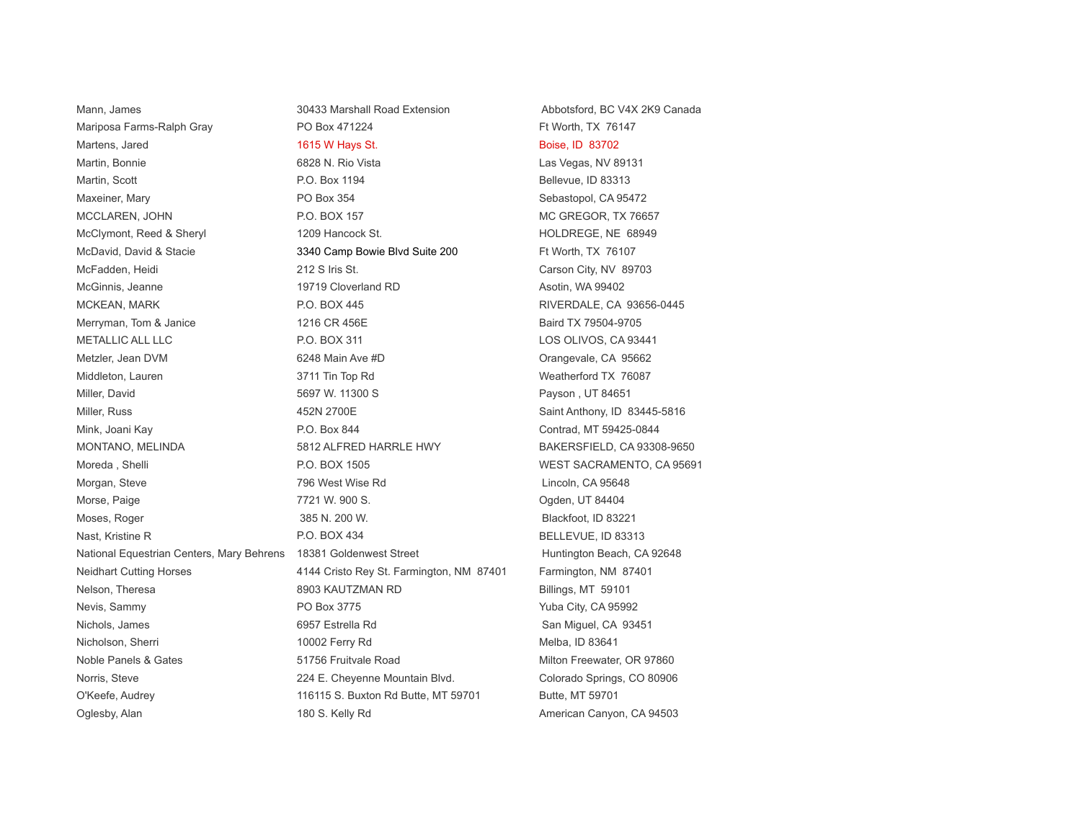Mann, James **30433 Marshall Road Extension** Abbotsford, BC V4X 2K9 Canada Mariposa Farms-Ralph Gray **PO Box 471224** Ft Worth, TX 76147 Martens, Jared **1615 W Hays St. Communist Communist Communist Communist Communist Communist Communist Communist Communist Communist Communist Communist Communist Communist Communist Communist Communist Communist Communist** Martin, Bonnie **Carlo Carlo 1983 III et al. Rio Vista** Carlo Vista Las Vegas, NV 89131 Martin, Scott **P.O. Box 1194** Bellevue, ID 83313 Maxeiner, Mary **PO Box 354** PO Box 354 Sebastopol. CA 95472 MCCLAREN, JOHN P.O. BOX 157 MCCLAREN, TX 76657 McClymont, Reed & Sheryl 1209 Hancock St. New York HOLDREGE, NE 68949 McDavid, David & Stacie 3340 Camp Bowie Blvd Suite 200 Ft Worth, TX 76107 McFadden, Heidi 212 S Iris St. Carson City, NV 89703 McGinnis, Jeanne 19719 Cloverland RD Asotin, WA 99402 MCKEAN, MARK P.O. BOX 445 RIVERDALE, CA 93656-0445 Merryman, Tom & Janice 1216 CR 456E All the CR 456E Baird TX 79504-9705 METALLIC ALL LLC P.O. BOX 311 LOS OLIVOS, CA 93441 Metzler, Jean DVM 6248 Main Ave #D 6248 Main Ave #D 6248 Main Ave #D 6248 Main Ave #D 662 Main Ave #D 662 Main Ave #D Middleton, Lauren 3711 Tin Top Rd Weatherford TX 76087 Miller, David **1988** Solomon Miller, David 1988 Solomon 1988 Solomon 1988 Solomon 1988 Solomon 1988 Solomon 1988 Solomon 1988 Solomon 1988 Solomon 1988 Solomon 1988 Solomon 1988 Solomon 1988 Solomon 1988 Solomon 1988 Solom Miller, Russ **152N 2700E** 452N 2700E Saint Anthony, ID 83445-5816 Mink, Joani Kay **Contrad, Mink, Joani Kay Contrad, MT** 59425-0844 MONTANO, MELINDA 6812 ALFRED HARRLE HWY BAKERSFIELD, CA 93308-9650 Moreda , Shelli **No. 2008** WEST SACRAMENTO, CA 95691 Morgan, Steve **196 West Wise Rd** 2008 Morgan, Steve 2014 Morgan, CA 95648 Morse, Paige 7721 W. 900 S. Ogden, UT 84404 Moses, Roger 385 N. 200 W. Blackfoot, ID 83221 Nast, Kristine R **P.O. BOX 434** BELLEVUE, ID 83313 National Equestrian Centers, Mary Behrens 18381 Goldenwest Street Huntington Beach, CA 92648 Neidhart Cutting Horses 4144 Cristo Rey St. Farmington, NM 87401 Farmington, NM 87401 Nelson, Theresa **8903 KAUTZMAN RD** Billings, MT 59101 Nevis, Sammy **PO Box 3775** PO Box 3775 Yuba City, CA 95992 Nichols, James **6957 Estrella Rd** San Miguel, CA 93451 Nicholson, Sherri 10002 Ferry Rd Melba, ID 83641 Noble Panels & Gates **51756** Fruitvale Road Milton Freewater, OR 97860 Norris, Steve **224 E. Cheyenne Mountain Blvd.** Colorado Springs, CO 80906 O'Keefe, Audrey **116115 S. Buxton Rd Butte, MT 59701** Butte, MT 59701 Oglesby, Alan 180 S. Kelly Rd American Canyon, CA 94503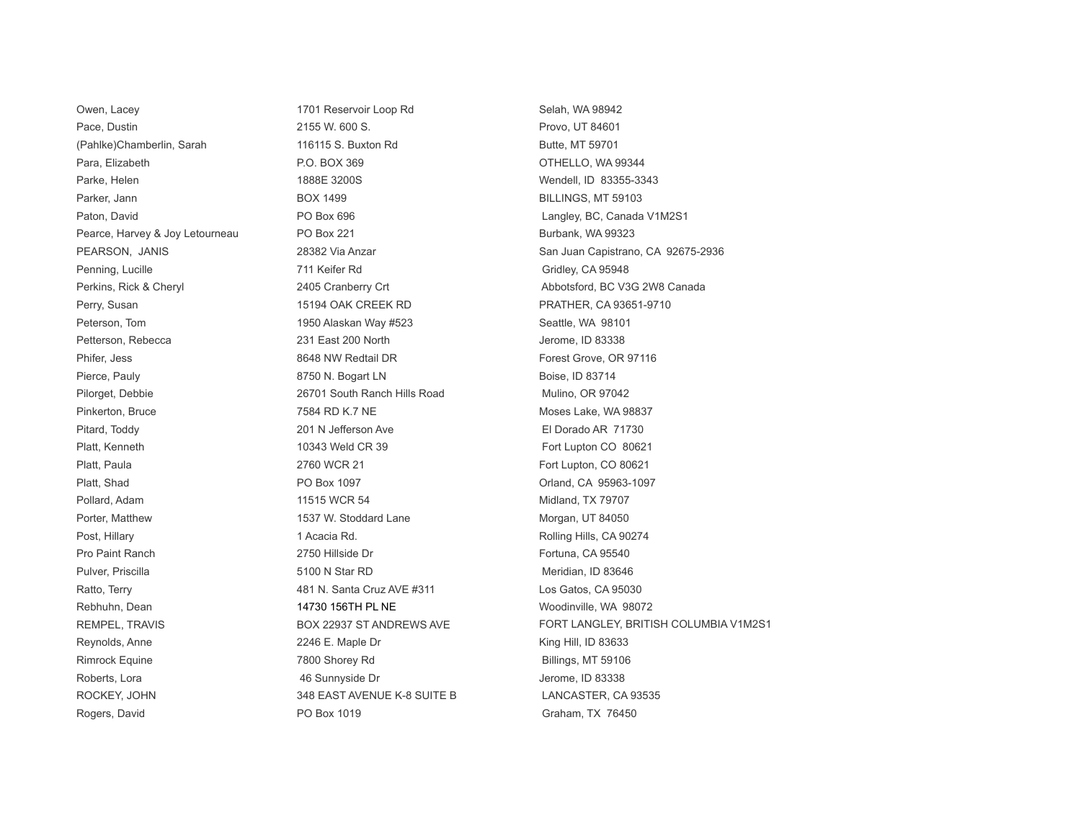Owen, Lacey **1701 Reservoir Loop Rd** Selah, WA 98942 Pace, Dustin 2155 W. 600 S. Provo, UT 84601 (Pahlke)Chamberlin, Sarah 116115 S. Buxton Rd Butte, MT 59701 Para, Elizabeth **P.O. BOX 369** P.O. BOX 369 **P.O. BOX 369** OTHELLO, WA 99344 Parke, Helen 1888E 3200S Wendell, ID 83355-3343 Parker, Jann Box 1499 BOX 1499 BILLINGS, MT 59103 Paton, David **PO Box 696** PO Box 696 Posted Baton, David Baton, David Baton, David PO Box 696 Posted Baton, David Baton, David Baton, PO Box 696 Posted Baton, David Baton, David Baton, David Baton, David Baton, David Baton Pearce, Harvey & Joy Letourneau PO Box 221 Burbank, WA 99323 Penning, Lucille **Penning, Lucille 2006** CA 95948 Perkins, Rick & Cheryl **2405** Cranberry Crt **Channel 2405** Cranberry Crt Abbotsford, BC V3G 2W8 Canada Perry, Susan 15194 OAK CREEK RD PRATHER, CA 93651-9710 Peterson, Tom 1950 Alaskan Way #523 Seattle, WA 98101 Petterson, Rebecca 231 East 200 North 231 East 200 North Jerome, ID 83338 Phifer, Jess **8648 NW Redtail DR** Forest Grove, OR 97116 Pierce, Pauly **Research Contract Contract Contract Contract Contract Contract Contract Contract Contract Contract Contract Contract Contract Contract Contract Contract Contract Contract Contract Contract Contract Contract** Pilorget, Debbie 26701 South Ranch Hills Road Mulino, OR 97042 Pinkerton, Bruce **7584 RD K.7 NE** Moses Lake, WA 98837 Pitard, Toddy 201 N Jefferson Ave El Dorado AR 71730 Platt, Kenneth 10343 Weld CR 39 Fort Lupton CO 80621 Platt, Paula **Platt, Paula 2760 WCR 21** Fort Lupton, CO 80621 Platt, Shad **PO Box 1097** Platt, Shad CA 95963-1097 Pollard, Adam 11515 WCR 54 Midland, TX 79707 Porter, Matthew **1537 W. Stoddard Lane** Morgan, UT 84050 Post, Hillary **1 Acacia Rd. Rolling Hills, CA 90274** Post, Hillary Rolling Hills, CA 90274 Pro Paint Ranch 2750 Hillside Dr **Fortuna, CA 95540** Pulver, Priscilla 5100 N Star RD Meridian, ID 83646 Ratto, Terry **1981 Carry 2012** 481 N. Santa Cruz AVE #311 Los Gatos, CA 95030 Rebhuhn, Dean 14730 156TH PL NE NE Woodinville, WA 98072 Reynolds, Anne **2246 E.** Maple Dr **Canadia Annual Mercynolds, Anne Maple Dr** King Hill, ID 83633 Rimrock Equine **The Contract Contract Contract Contract Contract Contract Contract Contract Contract Contract Contract Contract Contract Contract Contract Contract Contract Contract Contract Contract Contract Contract Cont** Roberts, Lora **1988** Contract the Sunnyside Dr **AG Sunnyside Dr Jerome, ID 83338** ROCKEY, JOHN 348 EAST AVENUE K-8 SUITE B LANCASTER, CA 93535 Rogers, David **PO Box 1019** PO Box 1019 **PO Box 1019** Graham, TX 76450

PEARSON, JANIS 28382 Via Anzar San Juan Capistrano, CA 92675-2936 REMPEL, TRAVIS FOR AN ARRIVATOR BOX 22937 ST ANDREWS AVE FORT LANGLEY, BRITISH COLUMBIA V1M2S1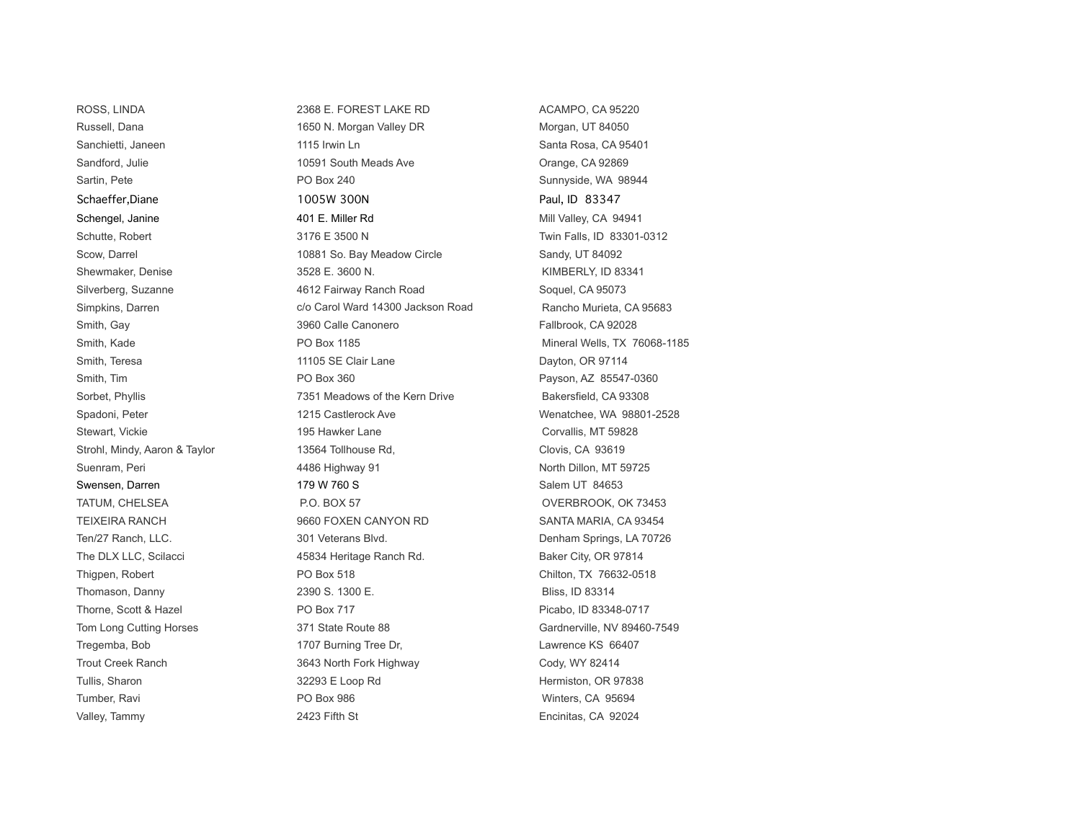ROSS, LINDA 2368 E. FOREST LAKE RD ACAMPO, CA 95220 Russell, Dana 164050 Merry 2016 1650 N. Morgan Valley DR Morgan, Morgan, UT 84050 Sanchietti, Janeen 1115 Irwin Ln Sanchietti, Janeen 1115 Irwin Ln Sanchietti, Janeen 1115 Irwin Ln Sandford, Julie 10591 South Meads Ave Crange, CA 92869 Sartin, Pete **PO Box 240** PO Box 240 Sunnyside, WA 98944 Schaeffer,Diane 1005W 300N Paul, ID 83347 Schengel, Janine **1988** and Mill Valley, CA 94941 **And According to Apple 10. Mill Valley, CA 94941** Schutte, Robert 3176 E 3500 N Twin Falls, ID 83301-0312 Scow, Darrel **10881 So. Bay Meadow Circle** Sandy, UT 84092 Shewmaker, Denise 23528 E. 3600 N. Shewmaker, Denise 3528 E. 3600 N. Silverberg, Suzanne **1888** and 4612 Fairway Ranch Road Soquel, CA 95073 Simpkins, Darren and C/o Carol Ward 14300 Jackson Road Rancho Murieta, CA 95683 Smith, Gay **3960 Calle Canonero** Fallbrook, CA 92028 Smith, Kade **PO Box 1185** PO Box 1185 Mineral Wells, TX 76068-1185 Smith, Teresa **11105 SE Clair Lane** Dayton, OR 97114 Smith, Tim **Example 2018** PO Box 360 **Payson, AZ 85547-0360** Payson, AZ 85547-0360 Sorbet, Phyllis **Table 10 and Table 7351** Meadows of the Kern Drive Bakersfield, CA 93308 Spadoni, Peter **1215 Castlerock Ave Metal Control Control** Menatchee, WA 98801-2528 Stewart, Vickie 195 Hawker Lane 195 Hawker Lane Corvallis, MT 59828 Strohl, Mindy, Aaron & Taylor 13564 Tollhouse Rd, Clovis, CA 93619 Suenram, Peri **1456 Highway 91** A486 Highway 91 North Dillon, MT 59725 Swensen, Darren 179 W 760 S Salem UT 84653 TATUM, CHELSEA P.O. BOX 57 P.O. BOX 57 CONSERVERS AND MULTATUM, CHELSEA TEIXEIRA RANCH 9660 FOXEN CANYON RD SANTA MARIA, CA 93454 Ten/27 Ranch, LLC. **301 Veterans Blvd.** 301 Veterans Blvd. Denham Springs, LA 70726 The DLX LLC, Scilacci **45834 Heritage Ranch Rd.** Baker City, OR 97814 Thigpen, Robert **PO Box 518** PO Box 518 Chilton, TX 76632-0518 Thomason, Danny 2390 S. 1300 E. Bliss, ID 83314 Thorne, Scott & Hazel PO Box 717 Promotion Po Box 717 Picabo, ID 83348-0717 Tom Long Cutting Horses 371 State Route 88 Gardnerville, NV 89460-7549 Tregemba, Bob 1707 Burning Tree Dr, Lawrence KS 66407 Trout Creek Ranch **3643 North Fork Highway** Cody, WY 82414 Tullis, Sharon **32293 E Loop Rd 32293 E Loop Rd Hermiston, OR 97838** Tumber, Ravi PO Box 986 Winters, CA 95694 Valley, Tammy **2423** Fifth St Encinitas, CA 92024